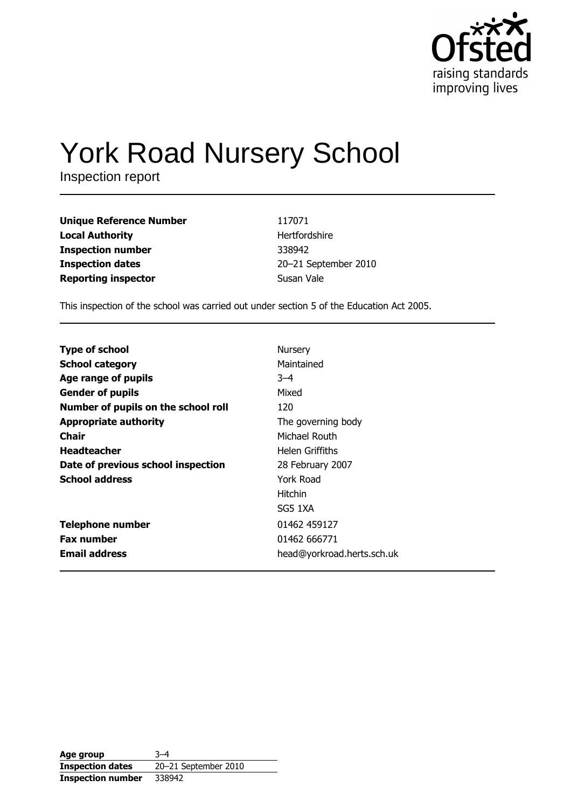

# **York Road Nursery School**

Inspection report

**Unique Reference Number Local Authority Inspection number Inspection dates Reporting inspector** 

117071 Hertfordshire 338942 20-21 September 2010 Susan Vale

This inspection of the school was carried out under section 5 of the Education Act 2005.

| <b>Type of school</b>               | Nursery                    |
|-------------------------------------|----------------------------|
| <b>School category</b>              | Maintained                 |
| Age range of pupils                 | $3 - 4$                    |
| <b>Gender of pupils</b>             | Mixed                      |
| Number of pupils on the school roll | 120                        |
| <b>Appropriate authority</b>        | The governing body         |
| <b>Chair</b>                        | Michael Routh              |
| <b>Headteacher</b>                  | Helen Griffiths            |
| Date of previous school inspection  | 28 February 2007           |
| <b>School address</b>               | York Road                  |
|                                     | <b>Hitchin</b>             |
|                                     | SG5 1XA                    |
| <b>Telephone number</b>             | 01462 459127               |
| <b>Fax number</b>                   | 01462 666771               |
| <b>Email address</b>                | head@yorkroad.herts.sch.uk |

Age group  $3 - 4$ **Inspection dates** 20-21 September 2010 **Inspection number** 338942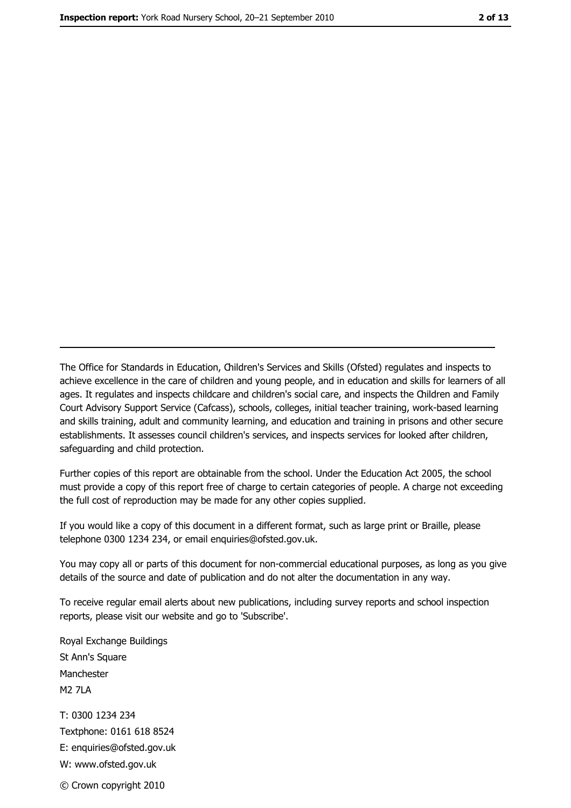The Office for Standards in Education, Children's Services and Skills (Ofsted) regulates and inspects to achieve excellence in the care of children and young people, and in education and skills for learners of all ages. It regulates and inspects childcare and children's social care, and inspects the Children and Family Court Advisory Support Service (Cafcass), schools, colleges, initial teacher training, work-based learning and skills training, adult and community learning, and education and training in prisons and other secure establishments. It assesses council children's services, and inspects services for looked after children, safeguarding and child protection.

Further copies of this report are obtainable from the school. Under the Education Act 2005, the school must provide a copy of this report free of charge to certain categories of people. A charge not exceeding the full cost of reproduction may be made for any other copies supplied.

If you would like a copy of this document in a different format, such as large print or Braille, please telephone 0300 1234 234, or email enquiries@ofsted.gov.uk.

You may copy all or parts of this document for non-commercial educational purposes, as long as you give details of the source and date of publication and do not alter the documentation in any way.

To receive regular email alerts about new publications, including survey reports and school inspection reports, please visit our website and go to 'Subscribe'.

Royal Exchange Buildings St Ann's Square Manchester **M2 7I A** T: 0300 1234 234 Textphone: 0161 618 8524 E: enquiries@ofsted.gov.uk W: www.ofsted.gov.uk © Crown copyright 2010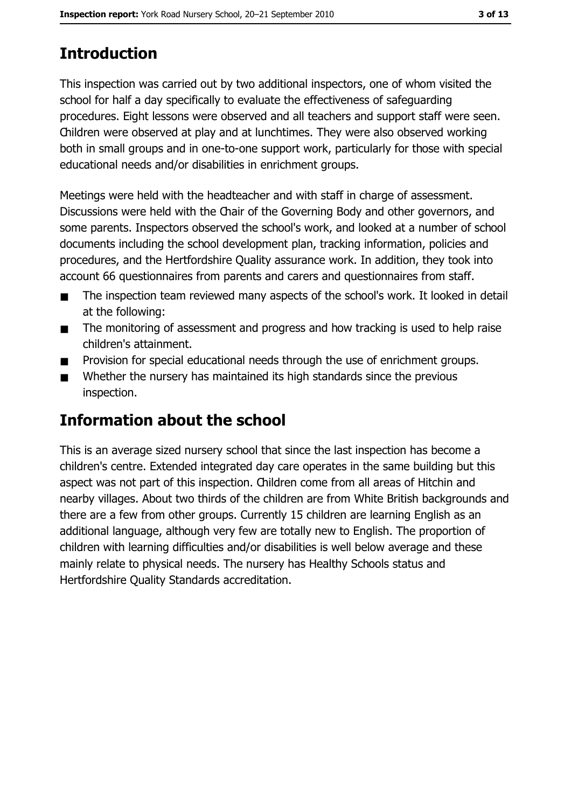# **Introduction**

This inspection was carried out by two additional inspectors, one of whom visited the school for half a day specifically to evaluate the effectiveness of safeguarding procedures. Eight lessons were observed and all teachers and support staff were seen. Children were observed at play and at lunchtimes. They were also observed working both in small groups and in one-to-one support work, particularly for those with special educational needs and/or disabilities in enrichment groups.

Meetings were held with the headteacher and with staff in charge of assessment. Discussions were held with the Chair of the Governing Body and other governors, and some parents. Inspectors observed the school's work, and looked at a number of school documents including the school development plan, tracking information, policies and procedures, and the Hertfordshire Quality assurance work. In addition, they took into account 66 questionnaires from parents and carers and questionnaires from staff.

- The inspection team reviewed many aspects of the school's work. It looked in detail  $\blacksquare$ at the following:
- The monitoring of assessment and progress and how tracking is used to help raise  $\blacksquare$ children's attainment.
- Provision for special educational needs through the use of enrichment groups.  $\blacksquare$
- Whether the nursery has maintained its high standards since the previous  $\blacksquare$ inspection.

## Information about the school

This is an average sized nursery school that since the last inspection has become a children's centre. Extended integrated day care operates in the same building but this aspect was not part of this inspection. Children come from all areas of Hitchin and nearby villages. About two thirds of the children are from White British backgrounds and there are a few from other groups. Currently 15 children are learning English as an additional language, although very few are totally new to English. The proportion of children with learning difficulties and/or disabilities is well below average and these mainly relate to physical needs. The nursery has Healthy Schools status and Hertfordshire Quality Standards accreditation.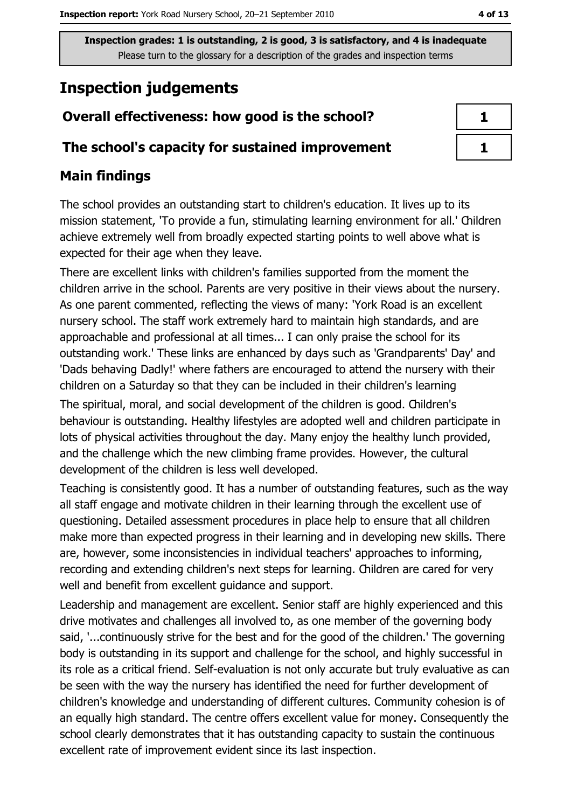# **Inspection judgements**

## Overall effectiveness: how good is the school?

### The school's capacity for sustained improvement

## **Main findings**

The school provides an outstanding start to children's education. It lives up to its mission statement, 'To provide a fun, stimulating learning environment for all.' Children achieve extremely well from broadly expected starting points to well above what is expected for their age when they leave.

There are excellent links with children's families supported from the moment the children arrive in the school. Parents are very positive in their views about the nursery. As one parent commented, reflecting the views of many: 'York Road is an excellent nursery school. The staff work extremely hard to maintain high standards, and are approachable and professional at all times... I can only praise the school for its outstanding work.' These links are enhanced by days such as 'Grandparents' Day' and 'Dads behaving Dadly!' where fathers are encouraged to attend the nursery with their children on a Saturday so that they can be included in their children's learning The spiritual, moral, and social development of the children is good. Children's behaviour is outstanding. Healthy lifestyles are adopted well and children participate in lots of physical activities throughout the day. Many enjoy the healthy lunch provided, and the challenge which the new climbing frame provides. However, the cultural development of the children is less well developed.

Teaching is consistently good. It has a number of outstanding features, such as the way all staff engage and motivate children in their learning through the excellent use of questioning. Detailed assessment procedures in place help to ensure that all children make more than expected progress in their learning and in developing new skills. There are, however, some inconsistencies in individual teachers' approaches to informing, recording and extending children's next steps for learning. Children are cared for very well and benefit from excellent quidance and support.

Leadership and management are excellent. Senior staff are highly experienced and this drive motivates and challenges all involved to, as one member of the governing body said, '...continuously strive for the best and for the good of the children.' The governing body is outstanding in its support and challenge for the school, and highly successful in its role as a critical friend. Self-evaluation is not only accurate but truly evaluative as can be seen with the way the nursery has identified the need for further development of children's knowledge and understanding of different cultures. Community cohesion is of an equally high standard. The centre offers excellent value for money. Consequently the school clearly demonstrates that it has outstanding capacity to sustain the continuous excellent rate of improvement evident since its last inspection.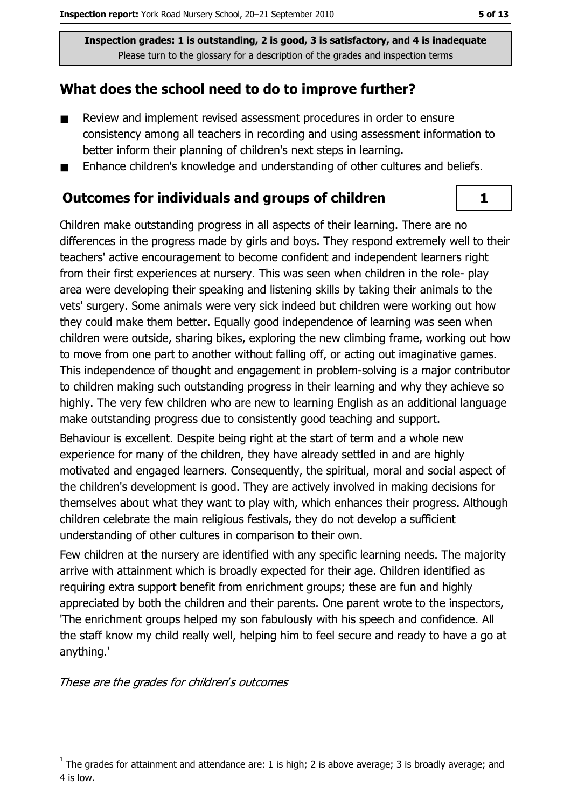## What does the school need to do to improve further?

- $\blacksquare$ Review and implement revised assessment procedures in order to ensure consistency among all teachers in recording and using assessment information to better inform their planning of children's next steps in learning.
- Enhance children's knowledge and understanding of other cultures and beliefs.  $\blacksquare$

#### **Outcomes for individuals and groups of children**

Children make outstanding progress in all aspects of their learning. There are no differences in the progress made by girls and boys. They respond extremely well to their teachers' active encouragement to become confident and independent learners right from their first experiences at nursery. This was seen when children in the role- play area were developing their speaking and listening skills by taking their animals to the vets' surgery. Some animals were very sick indeed but children were working out how they could make them better. Equally good independence of learning was seen when children were outside, sharing bikes, exploring the new climbing frame, working out how to move from one part to another without falling off, or acting out imaginative games. This independence of thought and engagement in problem-solving is a major contributor to children making such outstanding progress in their learning and why they achieve so highly. The very few children who are new to learning English as an additional language make outstanding progress due to consistently good teaching and support.

Behaviour is excellent. Despite being right at the start of term and a whole new experience for many of the children, they have already settled in and are highly motivated and engaged learners. Conseguently, the spiritual, moral and social aspect of the children's development is good. They are actively involved in making decisions for themselves about what they want to play with, which enhances their progress. Although children celebrate the main religious festivals, they do not develop a sufficient understanding of other cultures in comparison to their own.

Few children at the nursery are identified with any specific learning needs. The majority arrive with attainment which is broadly expected for their age. Children identified as requiring extra support benefit from enrichment groups; these are fun and highly appreciated by both the children and their parents. One parent wrote to the inspectors, 'The enrichment groups helped my son fabulously with his speech and confidence. All the staff know my child really well, helping him to feel secure and ready to have a go at anything.'

These are the grades for children's outcomes



The grades for attainment and attendance are: 1 is high; 2 is above average; 3 is broadly average; and 4 is low.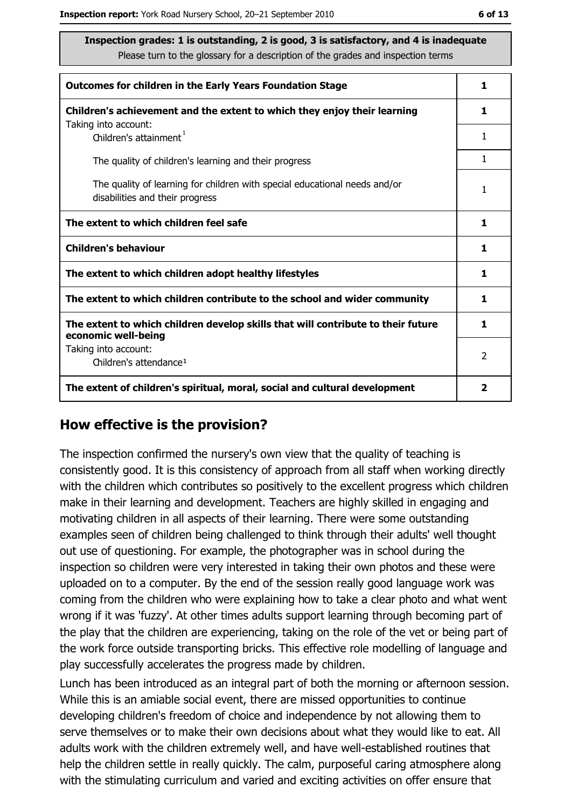| <b>Outcomes for children in the Early Years Foundation Stage</b>                                              | 1 |
|---------------------------------------------------------------------------------------------------------------|---|
| Children's achievement and the extent to which they enjoy their learning                                      | 1 |
| Taking into account:<br>Children's attainment <sup>1</sup>                                                    | 1 |
| The quality of children's learning and their progress                                                         | 1 |
| The quality of learning for children with special educational needs and/or<br>disabilities and their progress | 1 |
| The extent to which children feel safe                                                                        | 1 |
| <b>Children's behaviour</b>                                                                                   | 1 |
| The extent to which children adopt healthy lifestyles                                                         | 1 |
| The extent to which children contribute to the school and wider community                                     | 1 |
| The extent to which children develop skills that will contribute to their future<br>economic well-being       | 1 |
| Taking into account:<br>Children's attendance <sup>1</sup>                                                    | 2 |
| The extent of children's spiritual, moral, social and cultural development                                    | 2 |

#### How effective is the provision?

The inspection confirmed the nursery's own view that the quality of teaching is consistently good. It is this consistency of approach from all staff when working directly with the children which contributes so positively to the excellent progress which children make in their learning and development. Teachers are highly skilled in engaging and motivating children in all aspects of their learning. There were some outstanding examples seen of children being challenged to think through their adults' well thought out use of questioning. For example, the photographer was in school during the inspection so children were very interested in taking their own photos and these were uploaded on to a computer. By the end of the session really good language work was coming from the children who were explaining how to take a clear photo and what went wrong if it was 'fuzzy'. At other times adults support learning through becoming part of the play that the children are experiencing, taking on the role of the vet or being part of the work force outside transporting bricks. This effective role modelling of language and play successfully accelerates the progress made by children.

Lunch has been introduced as an integral part of both the morning or afternoon session. While this is an amiable social event, there are missed opportunities to continue developing children's freedom of choice and independence by not allowing them to serve themselves or to make their own decisions about what they would like to eat. All adults work with the children extremely well, and have well-established routines that help the children settle in really quickly. The calm, purposeful caring atmosphere along with the stimulating curriculum and varied and exciting activities on offer ensure that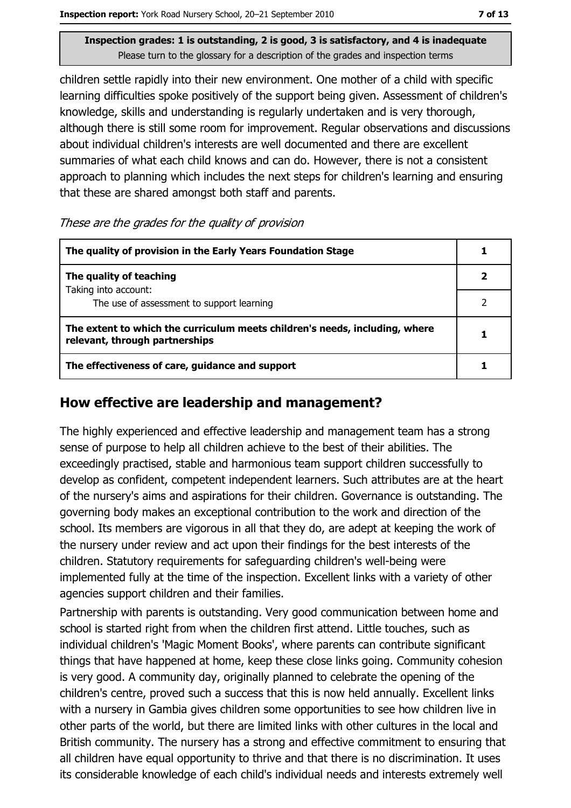children settle rapidly into their new environment. One mother of a child with specific learning difficulties spoke positively of the support being given. Assessment of children's knowledge, skills and understanding is regularly undertaken and is very thorough, although there is still some room for improvement. Regular observations and discussions about individual children's interests are well documented and there are excellent summaries of what each child knows and can do. However, there is not a consistent approach to planning which includes the next steps for children's learning and ensuring that these are shared amongst both staff and parents.

| These are the grades for the quality of provision |  |  |
|---------------------------------------------------|--|--|
|                                                   |  |  |

| The quality of provision in the Early Years Foundation Stage                                                  |  |
|---------------------------------------------------------------------------------------------------------------|--|
| The quality of teaching                                                                                       |  |
| Taking into account:<br>The use of assessment to support learning                                             |  |
| The extent to which the curriculum meets children's needs, including, where<br>relevant, through partnerships |  |
| The effectiveness of care, guidance and support                                                               |  |

#### How effective are leadership and management?

The highly experienced and effective leadership and management team has a strong sense of purpose to help all children achieve to the best of their abilities. The exceedingly practised, stable and harmonious team support children successfully to develop as confident, competent independent learners. Such attributes are at the heart of the nursery's aims and aspirations for their children. Governance is outstanding. The governing body makes an exceptional contribution to the work and direction of the school. Its members are vigorous in all that they do, are adept at keeping the work of the nursery under review and act upon their findings for the best interests of the children. Statutory requirements for safeguarding children's well-being were implemented fully at the time of the inspection. Excellent links with a variety of other agencies support children and their families.

Partnership with parents is outstanding. Very good communication between home and school is started right from when the children first attend. Little touches, such as individual children's 'Magic Moment Books', where parents can contribute significant things that have happened at home, keep these close links going. Community cohesion is very good. A community day, originally planned to celebrate the opening of the children's centre, proved such a success that this is now held annually. Excellent links with a nursery in Gambia gives children some opportunities to see how children live in other parts of the world, but there are limited links with other cultures in the local and British community. The nursery has a strong and effective commitment to ensuring that all children have equal opportunity to thrive and that there is no discrimination. It uses its considerable knowledge of each child's individual needs and interests extremely well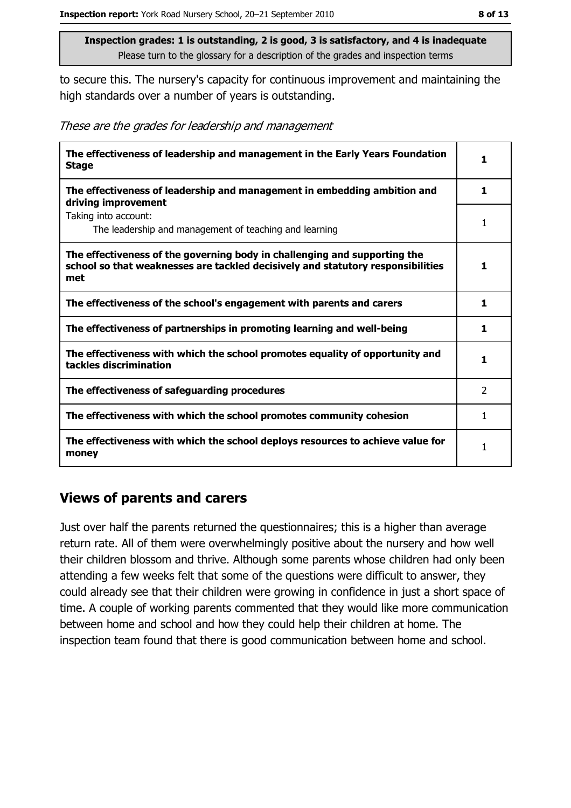to secure this. The nursery's capacity for continuous improvement and maintaining the high standards over a number of years is outstanding.

| These are the grades for leadership and management |  |  |
|----------------------------------------------------|--|--|
|                                                    |  |  |

| The effectiveness of leadership and management in the Early Years Foundation<br><b>Stage</b>                                                                        | 1             |
|---------------------------------------------------------------------------------------------------------------------------------------------------------------------|---------------|
| The effectiveness of leadership and management in embedding ambition and<br>driving improvement                                                                     | 1             |
| Taking into account:<br>The leadership and management of teaching and learning                                                                                      | 1             |
| The effectiveness of the governing body in challenging and supporting the<br>school so that weaknesses are tackled decisively and statutory responsibilities<br>met | 1             |
| The effectiveness of the school's engagement with parents and carers                                                                                                | 1             |
| The effectiveness of partnerships in promoting learning and well-being                                                                                              | 1             |
| The effectiveness with which the school promotes equality of opportunity and<br>tackles discrimination                                                              | 1             |
| The effectiveness of safeguarding procedures                                                                                                                        | $\mathcal{P}$ |
| The effectiveness with which the school promotes community cohesion                                                                                                 | 1             |
| The effectiveness with which the school deploys resources to achieve value for<br>money                                                                             |               |

#### **Views of parents and carers**

Just over half the parents returned the questionnaires; this is a higher than average return rate. All of them were overwhelmingly positive about the nursery and how well their children blossom and thrive. Although some parents whose children had only been attending a few weeks felt that some of the questions were difficult to answer, they could already see that their children were growing in confidence in just a short space of time. A couple of working parents commented that they would like more communication between home and school and how they could help their children at home. The inspection team found that there is good communication between home and school.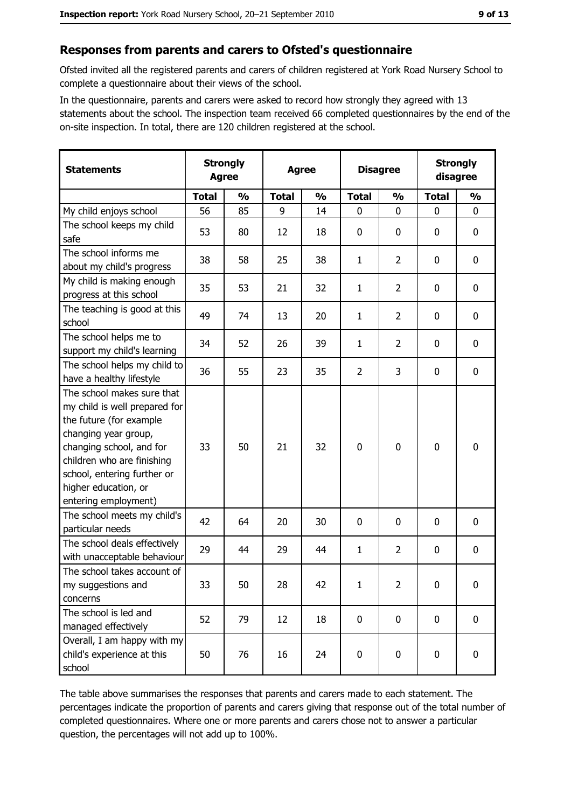## Responses from parents and carers to Ofsted's questionnaire

Ofsted invited all the registered parents and carers of children registered at York Road Nursery School to complete a questionnaire about their views of the school.

In the questionnaire, parents and carers were asked to record how strongly they agreed with 13 statements about the school. The inspection team received 66 completed questionnaires by the end of the on-site inspection. In total, there are 120 children registered at the school.

| <b>Statements</b>                                                                                                                                                                                                                                       | <b>Strongly</b><br><b>Agree</b> |               | <b>Agree</b> |               | <b>Disagree</b> |                | <b>Strongly</b><br>disagree |               |
|---------------------------------------------------------------------------------------------------------------------------------------------------------------------------------------------------------------------------------------------------------|---------------------------------|---------------|--------------|---------------|-----------------|----------------|-----------------------------|---------------|
|                                                                                                                                                                                                                                                         | <b>Total</b>                    | $\frac{0}{0}$ | <b>Total</b> | $\frac{0}{0}$ | <b>Total</b>    | $\frac{0}{0}$  | <b>Total</b>                | $\frac{0}{0}$ |
| My child enjoys school                                                                                                                                                                                                                                  | 56                              | 85            | 9            | 14            | $\mathbf 0$     | 0              | 0                           | 0             |
| The school keeps my child<br>safe                                                                                                                                                                                                                       | 53                              | 80            | 12           | 18            | $\mathbf 0$     | 0              | 0                           | 0             |
| The school informs me<br>about my child's progress                                                                                                                                                                                                      | 38                              | 58            | 25           | 38            | 1               | $\overline{2}$ | 0                           | 0             |
| My child is making enough<br>progress at this school                                                                                                                                                                                                    | 35                              | 53            | 21           | 32            | $\mathbf{1}$    | $\overline{2}$ | 0                           | $\mathbf 0$   |
| The teaching is good at this<br>school                                                                                                                                                                                                                  | 49                              | 74            | 13           | 20            | 1               | $\overline{2}$ | 0                           | $\mathbf 0$   |
| The school helps me to<br>support my child's learning                                                                                                                                                                                                   | 34                              | 52            | 26           | 39            | $\mathbf{1}$    | $\overline{2}$ | 0                           | 0             |
| The school helps my child to<br>have a healthy lifestyle                                                                                                                                                                                                | 36                              | 55            | 23           | 35            | $\overline{2}$  | 3              | 0                           | $\bf{0}$      |
| The school makes sure that<br>my child is well prepared for<br>the future (for example<br>changing year group,<br>changing school, and for<br>children who are finishing<br>school, entering further or<br>higher education, or<br>entering employment) | 33                              | 50            | 21           | 32            | $\mathbf 0$     | 0              | 0                           | $\mathbf 0$   |
| The school meets my child's<br>particular needs                                                                                                                                                                                                         | 42                              | 64            | 20           | 30            | $\mathbf 0$     | $\Omega$       | 0                           | $\mathbf 0$   |
| The school deals effectively<br>with unacceptable behaviour                                                                                                                                                                                             | 29                              | 44            | 29           | 44            | $\mathbf{1}$    | $\overline{2}$ | 0                           | $\bf{0}$      |
| The school takes account of<br>my suggestions and<br>concerns                                                                                                                                                                                           | 33                              | 50            | 28           | 42            | $\mathbf{1}$    | $\overline{2}$ | 0                           | $\bf{0}$      |
| The school is led and<br>managed effectively                                                                                                                                                                                                            | 52                              | 79            | 12           | 18            | $\mathbf 0$     | 0              | $\mathbf 0$                 | $\mathbf 0$   |
| Overall, I am happy with my<br>child's experience at this<br>school                                                                                                                                                                                     | 50                              | 76            | 16           | 24            | $\pmb{0}$       | 0              | 0                           | $\mathbf 0$   |

The table above summarises the responses that parents and carers made to each statement. The percentages indicate the proportion of parents and carers giving that response out of the total number of completed questionnaires. Where one or more parents and carers chose not to answer a particular question, the percentages will not add up to 100%.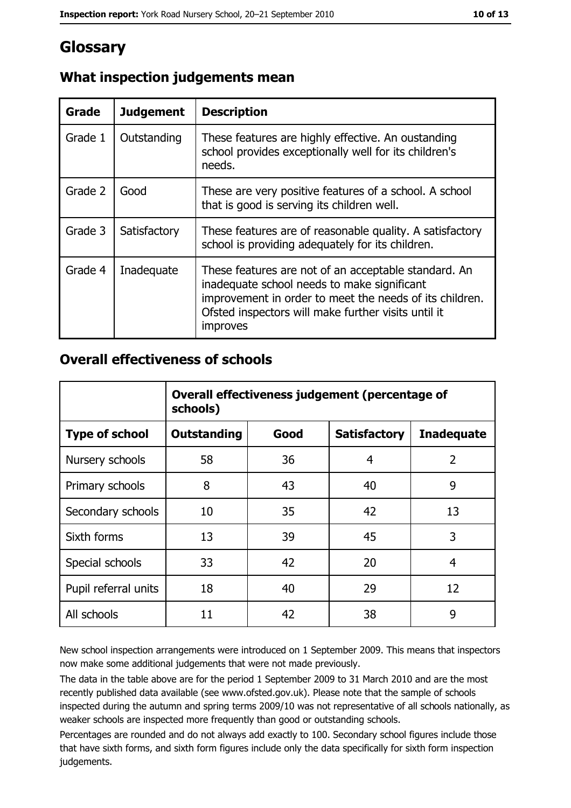# Glossary

| Grade   | <b>Judgement</b> | <b>Description</b>                                                                                                                                                                                                                |
|---------|------------------|-----------------------------------------------------------------------------------------------------------------------------------------------------------------------------------------------------------------------------------|
| Grade 1 | Outstanding      | These features are highly effective. An oustanding<br>school provides exceptionally well for its children's<br>needs.                                                                                                             |
| Grade 2 | Good             | These are very positive features of a school. A school<br>that is good is serving its children well.                                                                                                                              |
| Grade 3 | Satisfactory     | These features are of reasonable quality. A satisfactory<br>school is providing adequately for its children.                                                                                                                      |
| Grade 4 | Inadequate       | These features are not of an acceptable standard. An<br>inadequate school needs to make significant<br>improvement in order to meet the needs of its children.<br>Ofsted inspectors will make further visits until it<br>improves |

# What inspection judgements mean

## **Overall effectiveness of schools**

|                       | Overall effectiveness judgement (percentage of<br>schools) |      |                     |                   |
|-----------------------|------------------------------------------------------------|------|---------------------|-------------------|
| <b>Type of school</b> | <b>Outstanding</b>                                         | Good | <b>Satisfactory</b> | <b>Inadequate</b> |
| Nursery schools       | 58                                                         | 36   | 4                   | $\overline{2}$    |
| Primary schools       | 8                                                          | 43   | 40                  | 9                 |
| Secondary schools     | 10                                                         | 35   | 42                  | 13                |
| Sixth forms           | 13                                                         | 39   | 45                  | 3                 |
| Special schools       | 33                                                         | 42   | 20                  | 4                 |
| Pupil referral units  | 18                                                         | 40   | 29                  | 12                |
| All schools           | 11                                                         | 42   | 38                  | 9                 |

New school inspection arrangements were introduced on 1 September 2009. This means that inspectors now make some additional judgements that were not made previously.

The data in the table above are for the period 1 September 2009 to 31 March 2010 and are the most recently published data available (see www.ofsted.gov.uk). Please note that the sample of schools inspected during the autumn and spring terms 2009/10 was not representative of all schools nationally, as weaker schools are inspected more frequently than good or outstanding schools.

Percentages are rounded and do not always add exactly to 100. Secondary school figures include those that have sixth forms, and sixth form figures include only the data specifically for sixth form inspection judgements.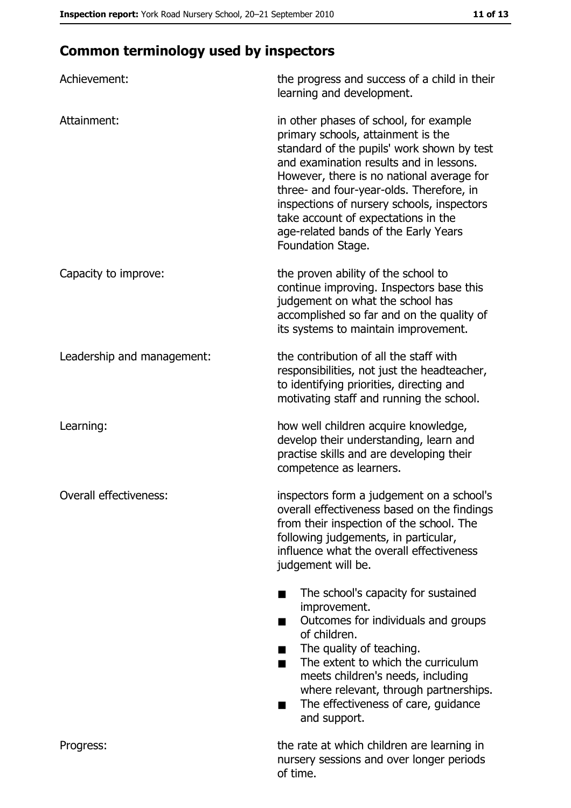# **Common terminology used by inspectors**

| Achievement:               | the progress and success of a child in their<br>learning and development.                                                                                                                                                                                                                                                                                                                                        |
|----------------------------|------------------------------------------------------------------------------------------------------------------------------------------------------------------------------------------------------------------------------------------------------------------------------------------------------------------------------------------------------------------------------------------------------------------|
| Attainment:                | in other phases of school, for example<br>primary schools, attainment is the<br>standard of the pupils' work shown by test<br>and examination results and in lessons.<br>However, there is no national average for<br>three- and four-year-olds. Therefore, in<br>inspections of nursery schools, inspectors<br>take account of expectations in the<br>age-related bands of the Early Years<br>Foundation Stage. |
| Capacity to improve:       | the proven ability of the school to<br>continue improving. Inspectors base this<br>judgement on what the school has<br>accomplished so far and on the quality of<br>its systems to maintain improvement.                                                                                                                                                                                                         |
| Leadership and management: | the contribution of all the staff with<br>responsibilities, not just the headteacher,<br>to identifying priorities, directing and<br>motivating staff and running the school.                                                                                                                                                                                                                                    |
| Learning:                  | how well children acquire knowledge,<br>develop their understanding, learn and<br>practise skills and are developing their<br>competence as learners.                                                                                                                                                                                                                                                            |
| Overall effectiveness:     | inspectors form a judgement on a school's<br>overall effectiveness based on the findings<br>from their inspection of the school. The<br>following judgements, in particular,<br>influence what the overall effectiveness<br>judgement will be.                                                                                                                                                                   |
|                            | The school's capacity for sustained<br>improvement.<br>Outcomes for individuals and groups<br>of children.<br>The quality of teaching.<br>The extent to which the curriculum<br>٠<br>meets children's needs, including<br>where relevant, through partnerships.<br>The effectiveness of care, guidance<br>and support.                                                                                           |
| Progress:                  | the rate at which children are learning in<br>nursery sessions and over longer periods<br>of time.                                                                                                                                                                                                                                                                                                               |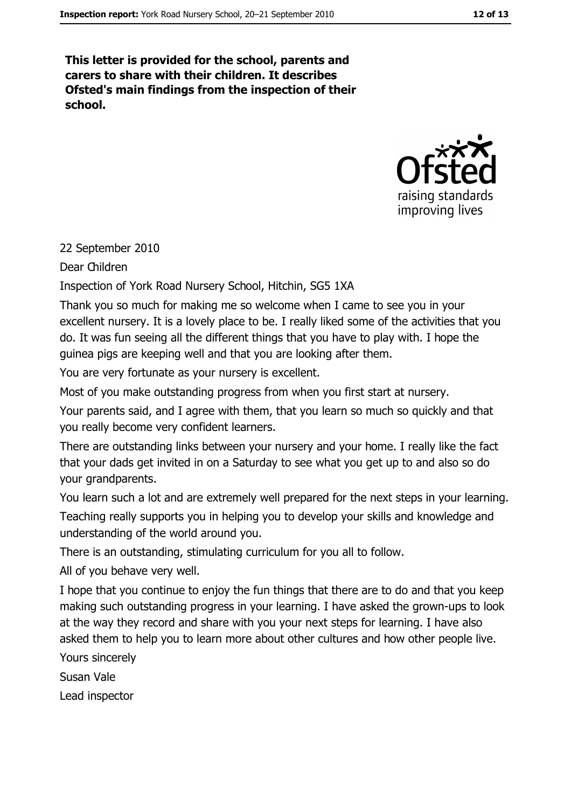This letter is provided for the school, parents and carers to share with their children. It describes Ofsted's main findings from the inspection of their school.



#### 22 September 2010

Dear Children

Inspection of York Road Nursery School, Hitchin, SG5 1XA

Thank you so much for making me so welcome when I came to see you in your excellent nursery. It is a lovely place to be. I really liked some of the activities that you do. It was fun seeing all the different things that you have to play with. I hope the quinea pigs are keeping well and that you are looking after them.

You are very fortunate as your nursery is excellent.

Most of you make outstanding progress from when you first start at nursery.

Your parents said, and I agree with them, that you learn so much so quickly and that vou really become very confident learners.

There are outstanding links between your nursery and your home. I really like the fact that your dads get invited in on a Saturday to see what you get up to and also so do your grandparents.

You learn such a lot and are extremely well prepared for the next steps in your learning.

Teaching really supports you in helping you to develop your skills and knowledge and understanding of the world around you.

There is an outstanding, stimulating curriculum for you all to follow.

All of you behave very well.

I hope that you continue to enjoy the fun things that there are to do and that you keep making such outstanding progress in your learning. I have asked the grown-ups to look at the way they record and share with you your next steps for learning. I have also asked them to help you to learn more about other cultures and how other people live.

Yours sincerely

Susan Vale

Lead inspector